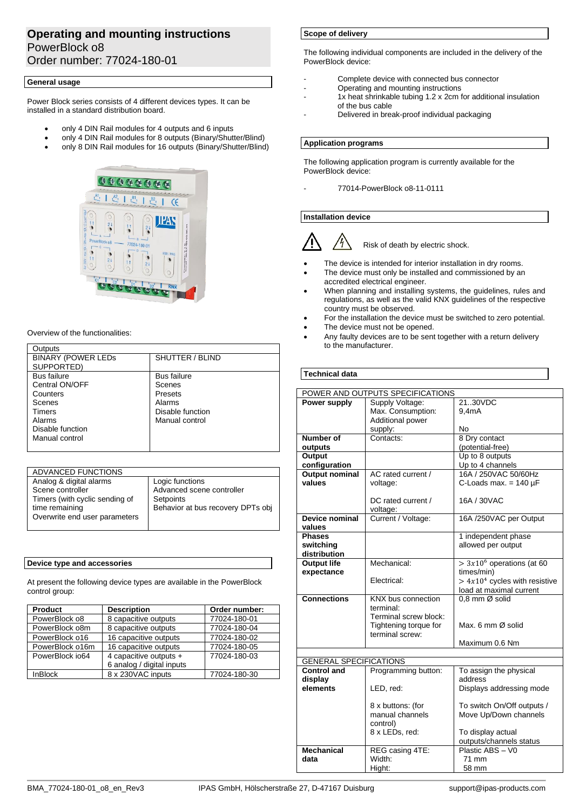# **Operating and mounting instructions** PowerBlock o8 Order number: 77024-180-01

### **General usage**

Power Block series consists of 4 different devices types. It can be installed in a standard distribution board.

- only 4 DIN Rail modules for 4 outputs and 6 inputs
- only 4 DIN Rail modules for 8 outputs (Binary/Shutter/Blind)
- only 8 DIN Rail modules for 16 outputs (Binary/Shutter/Blind)



#### Overview of the functionalities:

| Outputs                   |                    |
|---------------------------|--------------------|
| <b>BINARY (POWER LEDS</b> | SHUTTER / BLIND    |
| SUPPORTED)                |                    |
| <b>Bus failure</b>        | <b>Bus failure</b> |
| Central ON/OFF            | Scenes             |
| Counters                  | Presets            |
| Scenes                    | Alarms             |
| Timers                    | Disable function   |
| Alarms                    | Manual control     |
| Disable function          |                    |
| Manual control            |                    |
|                           |                    |

| ADVANCED FUNCTIONS             |                                   |
|--------------------------------|-----------------------------------|
| Analog & digital alarms        | Logic functions                   |
| Scene controller               | Advanced scene controller         |
| Timers (with cyclic sending of | Setpoints                         |
| time remaining                 | Behavior at bus recovery DPTs obj |
| Overwrite end user parameters  |                                   |
|                                |                                   |

### **Device type and accessories**

At present the following device types are available in the PowerBlock control group:

| <b>Product</b>  | <b>Description</b>        | Order number: |
|-----------------|---------------------------|---------------|
| PowerBlock o8   | 8 capacitive outputs      | 77024-180-01  |
| PowerBlock o8m  | 8 capacitive outputs      | 77024-180-04  |
| PowerBlock o16  | 16 capacitive outputs     | 77024-180-02  |
| PowerBlock o16m | 16 capacitive outputs     | 77024-180-05  |
| PowerBlock io64 | 4 capacitive outputs +    | 77024-180-03  |
|                 | 6 analog / digital inputs |               |
| <b>InBlock</b>  | 8 x 230VAC inputs         | 77024-180-30  |

## **Scope of delivery**

The following individual components are included in the delivery of the PowerBlock device:

- Complete device with connected bus connector
- Operating and mounting instructions
- 1x heat shrinkable tubing 1.2 x 2cm for additional insulation of the bus cable
- Delivered in break-proof individual packaging

#### **Application programs**

The following application program is currently available for the PowerBlock device:

- 77014-PowerBlock o8-11-0111

## **Installation device**



Risk of death by electric shock.

- The device is intended for interior installation in dry rooms.
- The device must only be installed and commissioned by an accredited electrical engineer.
- When planning and installing systems, the guidelines, rules and regulations, as well as the valid KNX guidelines of the respective country must be observed.
- For the installation the device must be switched to zero potential.
- The device must not be opened.
- Any faulty devices are to be sent together with a return delivery to the manufacturer.

## **Technical data**

| POWER AND OUTPUTS SPECIFICATIONS                    |                       |                                   |
|-----------------------------------------------------|-----------------------|-----------------------------------|
| Power supply                                        | Supply Voltage:       | 21.30VDC                          |
|                                                     | Max. Consumption:     | 9.4mA                             |
|                                                     | Additional power      |                                   |
|                                                     | supply:               | No                                |
| Number of                                           | Contacts:             | 8 Dry contact                     |
| outputs                                             |                       | (potential-free)                  |
| Output                                              |                       | Up to 8 outputs                   |
| configuration                                       |                       | Up to 4 channels                  |
| <b>Output nominal</b>                               | AC rated current /    | 16A / 250VAC 50/60Hz              |
| values                                              | voltage:              | C-Loads max. = $140 \mu F$        |
|                                                     |                       |                                   |
|                                                     | DC rated current /    | 16A / 30VAC                       |
|                                                     | voltage:              |                                   |
| <b>Device nominal</b>                               | Current / Voltage:    | 16A /250VAC per Output            |
| values                                              |                       |                                   |
| <b>Phases</b>                                       |                       | 1 independent phase               |
| switching                                           |                       | allowed per output                |
| distribution                                        |                       |                                   |
| <b>Output life</b>                                  | Mechanical:           | $> 3x106$ operations (at 60       |
| expectance                                          |                       | times/min)                        |
|                                                     | Electrical:           | $> 4x104$ cycles with resistive   |
|                                                     |                       | load at maximal current           |
| <b>Connections</b>                                  | KNX bus connection    | 0.8 mm Ø solid                    |
|                                                     | terminal:             |                                   |
|                                                     | Terminal screw block: |                                   |
|                                                     | Tightening torque for | Max. 6 mm Ø solid                 |
|                                                     | terminal screw:       |                                   |
|                                                     |                       | Maximum 0.6 Nm                    |
|                                                     |                       |                                   |
| <b>GENERAL SPECIFICATIONS</b><br><b>Control and</b> |                       |                                   |
| display                                             | Programming button:   | To assign the physical<br>address |
| elements                                            | LED, red:             | Displays addressing mode          |
|                                                     |                       |                                   |
|                                                     | 8 x buttons: (for     | To switch On/Off outputs /        |
|                                                     | manual channels       | Move Up/Down channels             |
|                                                     | control)              |                                   |
|                                                     | 8 x LEDs, red:        | To display actual                 |
|                                                     |                       | outputs/channels status           |
| <b>Mechanical</b>                                   | REG casing 4TE:       | Plastic ABS - V0                  |
| data                                                | Width:                | 71 mm                             |
|                                                     | Hight:                | 58 mm                             |
|                                                     |                       |                                   |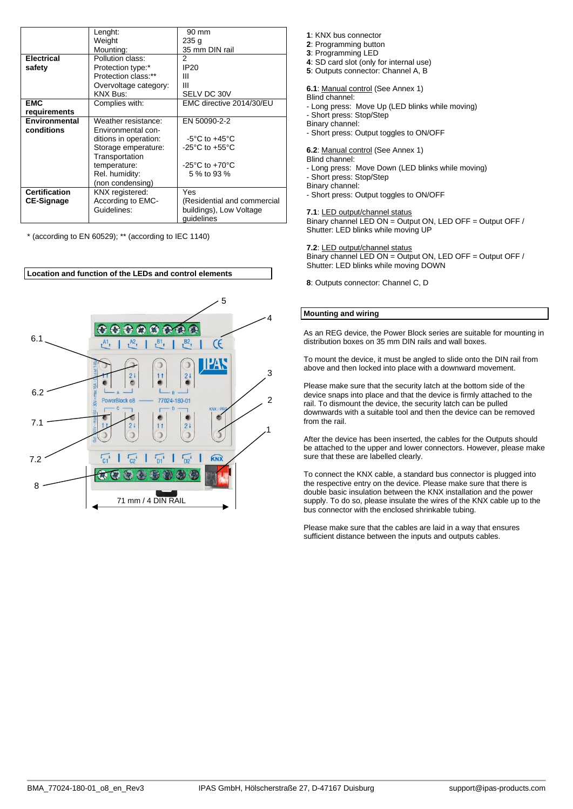|                      | Lenght:               | 90 mm                                |
|----------------------|-----------------------|--------------------------------------|
|                      | Weight                | 235q                                 |
|                      | Mounting:             | 35 mm DIN rail                       |
| <b>Electrical</b>    | Pollution class:      | 2                                    |
| safety               | Protection type:*     | IP <sub>20</sub>                     |
|                      | Protection class:**   | Ш                                    |
|                      | Overvoltage category: | Ш                                    |
|                      | <b>KNX Bus:</b>       | SELV DC 30V                          |
| <b>EMC</b>           | Complies with:        | EMC directive 2014/30/EU             |
| requirements         |                       |                                      |
| Environmental        | Weather resistance:   | EN 50090-2-2                         |
| conditions           | Environmental con-    |                                      |
|                      | ditions in operation: | $-5^{\circ}$ C to $+45^{\circ}$ C    |
|                      | Storage emperature:   | $-25^{\circ}$ C to $+55^{\circ}$ C   |
|                      | Transportation        |                                      |
|                      | temperature:          | -25 $^{\circ}$ C to +70 $^{\circ}$ C |
|                      | Rel. humidity:        | 5 % to 93 %                          |
|                      | (non condensing)      |                                      |
| <b>Certification</b> | KNX registered:       | Yes                                  |
| <b>CE-Signage</b>    | According to EMC-     | (Residential and commercial          |
|                      | Guidelines:           | buildings), Low Voltage              |
|                      |                       | quidelines                           |

\* (according to EN 60529); \*\* (according to IEC 1140)



: KNX bus connector : Programming button : Programming LED : SD card slot (only for internal use) : Outputs connector: Channel A, B **6.1**: Manual control (See Annex 1) Blind channel:

- Long press: Move Up (LED blinks while moving)

- Short press: Stop/Step Binary channel:

- Short press: Output toggles to ON/OFF

**6.2**: Manual control (See Annex 1)

Blind channel: - Long press: Move Down (LED blinks while moving) - Short press: Stop/Step Binary channel: - Short press: Output toggles to ON/OFF

**7.1**: LED output/channel status

Binary channel LED ON = Output ON, LED OFF = Output OFF / Shutter: LED blinks while moving UP

**7.2**: LED output/channel status Binary channel LED ON = Output ON, LED OFF = Output OFF / Shutter: LED blinks while moving DOWN

**8**: Outputs connector: Channel C, D

### **Mounting and wiring**

As an REG device, the Power Block series are suitable for mounting in distribution boxes on 35 mm DIN rails and wall boxes.

To mount the device, it must be angled to slide onto the DIN rail from above and then locked into place with a downward movement.

Please make sure that the security latch at the bottom side of the device snaps into place and that the device is firmly attached to the rail. To dismount the device, the security latch can be pulled downwards with a suitable tool and then the device can be removed from the rail.

After the device has been inserted, the cables for the Outputs should be attached to the upper and lower connectors. However, please make sure that these are labelled clearly.

To connect the KNX cable, a standard bus connector is plugged into the respective entry on the device. Please make sure that there is double basic insulation between the KNX installation and the power supply. To do so, please insulate the wires of the KNX cable up to the bus connector with the enclosed shrinkable tubing.

Please make sure that the cables are laid in a way that ensures sufficient distance between the inputs and outputs cables.